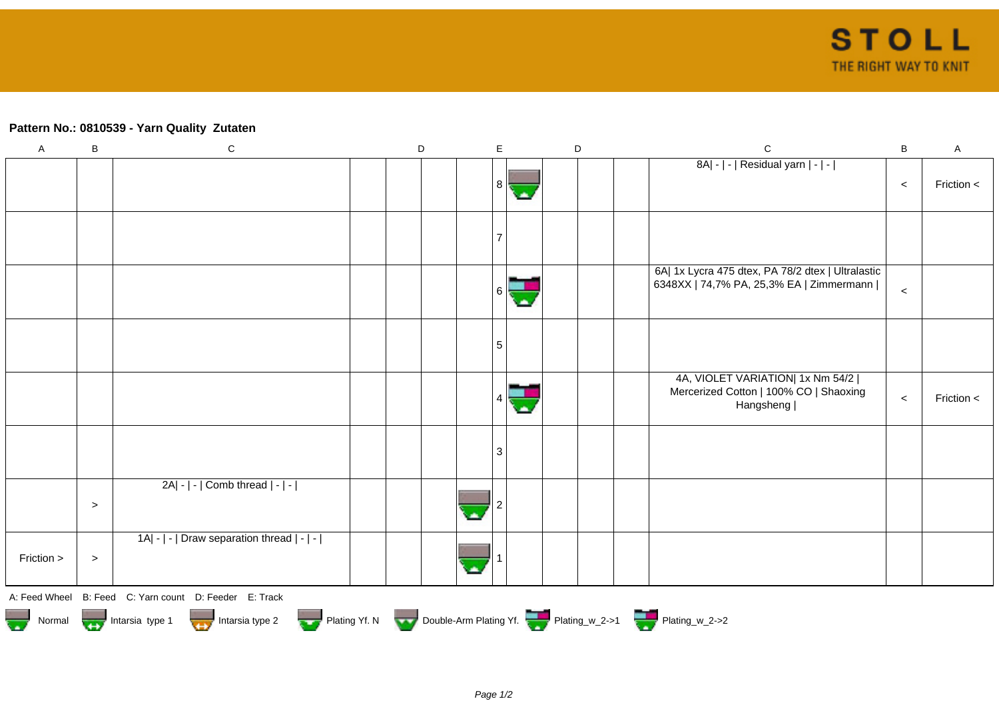## **Pattern No.: 0810539 - Yarn Quality Zutaten**

| $\mathsf A$                                                                      | $\sf B$ | ${\bf C}$                                                       | $\mathsf D$ | $\mathsf E$ |   | D | $\mathsf C$                                                                                   | $\, {\bf B}$ | $\mathsf A$    |  |
|----------------------------------------------------------------------------------|---------|-----------------------------------------------------------------|-------------|-------------|---|---|-----------------------------------------------------------------------------------------------|--------------|----------------|--|
|                                                                                  |         |                                                                 |             | 8           | ٠ |   | 8A  -   -   Residual yarn   -   -                                                             | $\prec$      | Friction <     |  |
|                                                                                  |         |                                                                 |             |             |   |   |                                                                                               |              |                |  |
|                                                                                  |         |                                                                 |             |             |   |   | 6A  1x Lycra 475 dtex, PA 78/2 dtex   Ultralastic<br>6348XX   74,7% PA, 25,3% EA   Zimmermann | $\prec$      |                |  |
|                                                                                  |         |                                                                 |             | 5           |   |   |                                                                                               |              |                |  |
|                                                                                  |         |                                                                 |             |             |   |   | 4A, VIOLET VARIATION  1x Nm 54/2  <br>Mercerized Cotton   100% CO   Shaoxing<br>Hangsheng     | $\prec$      | Friction $\lt$ |  |
|                                                                                  |         |                                                                 |             | 3           |   |   |                                                                                               |              |                |  |
|                                                                                  | $\, >$  | 2A  -   -   Comb thread   -   -                                 |             |             |   |   |                                                                                               |              |                |  |
| Friction >                                                                       | $\, >$  | $ 1A $ - $  \cdot  $ Draw separation thread $  \cdot   \cdot  $ |             |             |   |   |                                                                                               |              |                |  |
|                                                                                  |         | A: Feed Wheel B: Feed C: Yarn count D: Feeder E: Track          |             |             |   |   |                                                                                               |              |                |  |
| Normal Montain Strategy Intarsia type 2 but Plating Yf. N Double-Arm Plating Yf. |         |                                                                 |             |             |   |   |                                                                                               |              |                |  |